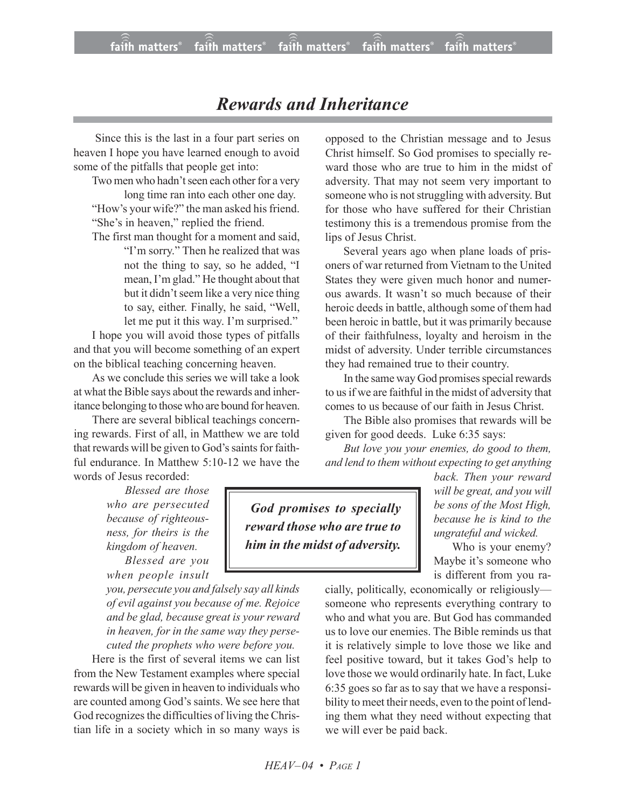## *Rewards and Inheritance*

 Since this is the last in a four part series on heaven I hope you have learned enough to avoid some of the pitfalls that people get into:

Two men who hadn't seen each other for a very long time ran into each other one day. "How's your wife?" the man asked his friend. "She's in heaven," replied the friend.

The first man thought for a moment and said, "I'm sorry." Then he realized that was not the thing to say, so he added, "I mean, I'm glad." He thought about that but it didn't seem like a very nice thing to say, either. Finally, he said, "Well, let me put it this way. I'm surprised."

I hope you will avoid those types of pitfalls and that you will become something of an expert on the biblical teaching concerning heaven.

As we conclude this series we will take a look at what the Bible says about the rewards and inheritance belonging to those who are bound for heaven.

There are several biblical teachings concerning rewards. First of all, in Matthew we are told that rewards will be given to God's saints for faithful endurance. In Matthew 5:10-12 we have the words of Jesus recorded:

> *Blessed are those who are persecuted because of righteousness, for theirs is the kingdom of heaven.*

> *Blessed are you when people insult*

*you, persecute you and falsely say all kinds of evil against you because of me. Rejoice and be glad, because great is your reward in heaven, for in the same way they persecuted the prophets who were before you.*

Here is the first of several items we can list from the New Testament examples where special rewards will be given in heaven to individuals who are counted among God's saints. We see here that God recognizes the difficulties of living the Christian life in a society which in so many ways is opposed to the Christian message and to Jesus Christ himself. So God promises to specially reward those who are true to him in the midst of adversity. That may not seem very important to someone who is not struggling with adversity. But for those who have suffered for their Christian testimony this is a tremendous promise from the lips of Jesus Christ.

Several years ago when plane loads of prisoners of war returned from Vietnam to the United States they were given much honor and numerous awards. It wasn't so much because of their heroic deeds in battle, although some of them had been heroic in battle, but it was primarily because of their faithfulness, loyalty and heroism in the midst of adversity. Under terrible circumstances they had remained true to their country.

In the same way God promises special rewards to usif we are faithful in the midst of adversity that comes to us because of our faith in Jesus Christ.

The Bible also promises that rewards will be given for good deeds. Luke 6:35 says:

*But love you your enemies, do good to them, and lend to them without expecting to get anything*

> *back. Then your reward will be great, and you will be sons of the Most High, because he is kind to the ungrateful and wicked.*

Who is your enemy? Maybe it's someone who is different from you ra-

cially, politically, economically or religiously someone who represents everything contrary to who and what you are. But God has commanded us to love our enemies. The Bible reminds us that it is relatively simple to love those we like and feel positive toward, but it takes God's help to love those we would ordinarily hate. In fact, Luke 6:35 goes so far as to say that we have a responsibility to meet their needs, even to the point of lending them what they need without expecting that we will ever be paid back.

*God promises to specially reward those who are true to him in the midst of adversity.*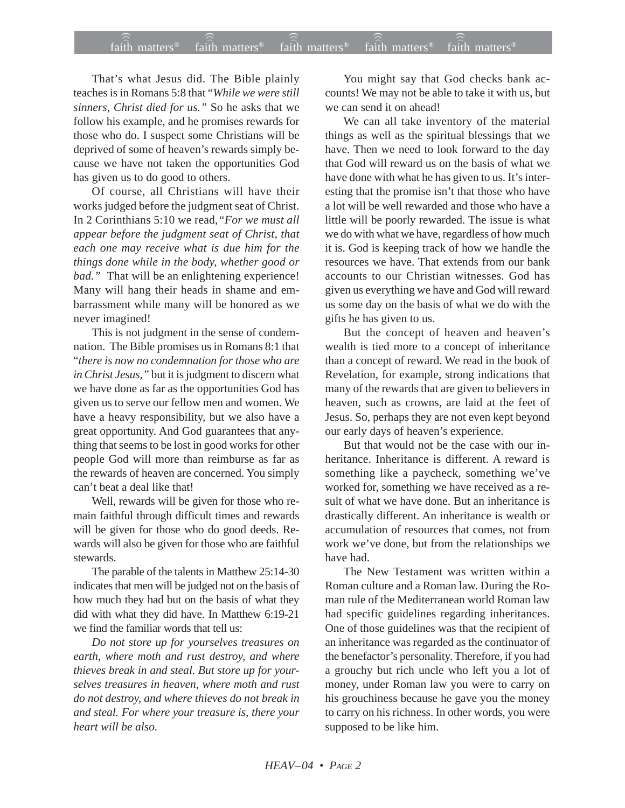That's what Jesus did. The Bible plainly teaches is in Romans 5:8 that "*While we were still sinners, Christ died for us."* So he asks that we follow his example, and he promises rewards for those who do. I suspect some Christians will be deprived of some of heaven's rewards simply because we have not taken the opportunities God has given us to do good to others.

Of course, all Christians will have their works judged before the judgment seat of Christ. In 2 Corinthians 5:10 we read,*"For we must all appear before the judgment seat of Christ, that each one may receive what is due him for the things done while in the body, whether good or bad."* That will be an enlightening experience! Many will hang their heads in shame and embarrassment while many will be honored as we never imagined!

This is not judgment in the sense of condemnation. The Bible promises us in Romans 8:1 that "*there is now no condemnation for those who are in Christ Jesus,"* but it is judgment to discern what we have done as far as the opportunities God has given us to serve our fellow men and women. We have a heavy responsibility, but we also have a great opportunity. And God guarantees that anything that seems to be lost in good works for other people God will more than reimburse as far as the rewards of heaven are concerned. You simply can't beat a deal like that!

Well, rewards will be given for those who remain faithful through difficult times and rewards will be given for those who do good deeds. Rewards will also be given for those who are faithful stewards.

The parable of the talents in Matthew 25:14-30 indicates that men will be judged not on the basis of how much they had but on the basis of what they did with what they did have. In Matthew 6:19-21 we find the familiar words that tell us:

*Do not store up for yourselves treasures on earth, where moth and rust destroy, and where thieves break in and steal. But store up for yourselves treasures in heaven, where moth and rust do not destroy, and where thieves do not break in and steal. For where your treasure is, there your heart will be also.*

You might say that God checks bank accounts! We may not be able to take it with us, but we can send it on ahead!

We can all take inventory of the material things as well as the spiritual blessings that we have. Then we need to look forward to the day that God will reward us on the basis of what we have done with what he has given to us. It's interesting that the promise isn't that those who have a lot will be well rewarded and those who have a little will be poorly rewarded. The issue is what we do with what we have, regardless of how much it is. God is keeping track of how we handle the resources we have. That extends from our bank accounts to our Christian witnesses. God has given us everything we have and God will reward us some day on the basis of what we do with the gifts he has given to us.

But the concept of heaven and heaven's wealth is tied more to a concept of inheritance than a concept of reward. We read in the book of Revelation, for example, strong indications that many of the rewards that are given to believers in heaven, such as crowns, are laid at the feet of Jesus. So, perhaps they are not even kept beyond our early days of heaven's experience.

But that would not be the case with our inheritance. Inheritance is different. A reward is something like a paycheck, something we've worked for, something we have received as a result of what we have done. But an inheritance is drastically different. An inheritance is wealth or accumulation of resources that comes, not from work we've done, but from the relationships we have had.

The New Testament was written within a Roman culture and a Roman law. During the Roman rule of the Mediterranean world Roman law had specific guidelines regarding inheritances. One of those guidelines was that the recipient of an inheritance was regarded as the continuator of the benefactor's personality. Therefore, if you had a grouchy but rich uncle who left you a lot of money, under Roman law you were to carry on his grouchiness because he gave you the money to carry on his richness. In other words, you were supposed to be like him.